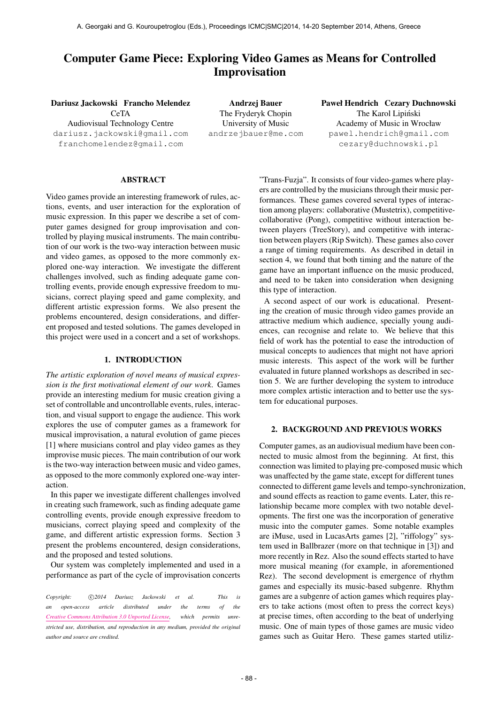# Computer Game Piece: Exploring Video Games as Means for Controlled Improvisation

Dariusz Jackowski Francho Melendez

CeTA Audiovisual Technology Centre [dariusz.jackowski@gmail.com](mailto:dariusz.jackowski@gmail.com) [franchomelendez@gmail.com](mailto:franchomelendez@gmail.com)

Andrzej Bauer The Fryderyk Chopin University of Music [andrzejbauer@me.com](mailto:andrzejbauer@me.com) Paweł Hendrich Cezary Duchnowski The Karol Lipiński Academy of Music in Wrocław [pawel.hendrich@gmail.com](mailto:pawel.hendrich@gmail.com) [cezary@duchnowski.pl](mailto:cezary@duchnowski.pl)

# ABSTRACT

Video games provide an interesting framework of rules, actions, events, and user interaction for the exploration of music expression. In this paper we describe a set of computer games designed for group improvisation and controlled by playing musical instruments. The main contribution of our work is the two-way interaction between music and video games, as opposed to the more commonly explored one-way interaction. We investigate the different challenges involved, such as finding adequate game controlling events, provide enough expressive freedom to musicians, correct playing speed and game complexity, and different artistic expression forms. We also present the problems encountered, design considerations, and different proposed and tested solutions. The games developed in this project were used in a concert and a set of workshops.

#### 1. INTRODUCTION

*The artistic exploration of novel means of musical expression is the first motivational element of our work*. Games provide an interesting medium for music creation giving a set of controllable and uncontrollable events, rules, interaction, and visual support to engage the audience. This work explores the use of computer games as a framework for musical improvisation, a natural evolution of game pieces [1] where musicians control and play video games as they improvise music pieces. The main contribution of our work is the two-way interaction between music and video games, as opposed to the more commonly explored one-way interaction.

In this paper we investigate different challenges involved in creating such framework, such as finding adequate game controlling events, provide enough expressive freedom to musicians, correct playing speed and complexity of the game, and different artistic expression forms. Section 3 present the problems encountered, design considerations, and the proposed and tested solutions.

Our system was completely implemented and used in a performance as part of the cycle of improvisation concerts

Copyright:  $\bigcirc$ 2014 Dariusz Jackowski et al. This is *an open-access article distributed under the terms of the [Creative Commons Attribution 3.0 Unported License,](http://creativecommons.org/licenses/by/3.0/) which permits unrestricted use, distribution, and reproduction in any medium, provided the original author and source are credited.*

"Trans-Fuzja". It consists of four video-games where players are controlled by the musicians through their music performances. These games covered several types of interaction among players: collaborative (Mustetrix), competitivecollaborative (Pong), competitive without interaction between players (TreeStory), and competitive with interaction between players (Rip Switch). These games also cover a range of timing requirements. As described in detail in section 4, we found that both timing and the nature of the game have an important influence on the music produced, and need to be taken into consideration when designing this type of interaction.

A second aspect of our work is educational. Presenting the creation of music through video games provide an attractive medium which audience, specially young audiences, can recognise and relate to. We believe that this field of work has the potential to ease the introduction of musical concepts to audiences that might not have apriori music interests. This aspect of the work will be further evaluated in future planned workshops as described in section 5. We are further developing the system to introduce more complex artistic interaction and to better use the system for educational purposes.

## 2. BACKGROUND AND PREVIOUS WORKS

Computer games, as an audiovisual medium have been connected to music almost from the beginning. At first, this connection was limited to playing pre-composed music which was unaffected by the game state, except for different tunes connected to different game levels and tempo-synchronization, and sound effects as reaction to game events. Later, this relationship became more complex with two notable developments. The first one was the incorporation of generative music into the computer games. Some notable examples are iMuse, used in LucasArts games [2], "riffology" system used in Ballbrazer (more on that technique in [3]) and more recently in Rez. Also the sound effects started to have more musical meaning (for example, in aforementioned Rez). The second development is emergence of rhythm games and especially its music-based subgenre. Rhythm games are a subgenre of action games which requires players to take actions (most often to press the correct keys) at precise times, often according to the beat of underlying music. One of main types of those games are music video games such as Guitar Hero. These games started utiliz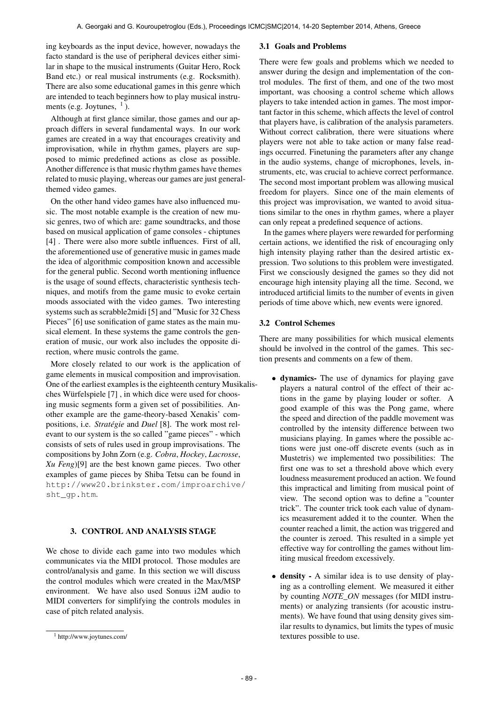ing keyboards as the input device, however, nowadays the facto standard is the use of peripheral devices either similar in shape to the musical instruments (Guitar Hero, Rock Band etc.) or real musical instruments (e.g. Rocksmith). There are also some educational games in this genre which are intended to teach beginners how to play musical instruments (e.g. Joytunes,  $<sup>1</sup>$ ).</sup>

Although at first glance similar, those games and our approach differs in several fundamental ways. In our work games are created in a way that encourages creativity and improvisation, while in rhythm games, players are supposed to mimic predefined actions as close as possible. Another difference is that music rhythm games have themes related to music playing, whereas our games are just generalthemed video games.

On the other hand video games have also influenced music. The most notable example is the creation of new music genres, two of which are: game soundtracks, and those based on musical application of game consoles - chiptunes [4]. There were also more subtle influences. First of all, the aforementioned use of generative music in games made the idea of algorithmic composition known and accessible for the general public. Second worth mentioning influence is the usage of sound effects, characteristic synthesis techniques, and motifs from the game music to evoke certain moods associated with the video games. Two interesting systems such as scrabble2midi [5] and "Music for 32 Chess Pieces" [6] use sonification of game states as the main musical element. In these systems the game controls the generation of music, our work also includes the opposite direction, where music controls the game.

More closely related to our work is the application of game elements in musical composition and improvisation. One of the earliest examples is the eighteenth century Musikalisches Würfelspiele [7] , in which dice were used for choosing music segments form a given set of possibilities. Another example are the game-theory-based Xenakis' compositions, i.e. *Stratégie* and *Duel* [8]. The work most relevant to our system is the so called "game pieces" - which consists of sets of rules used in group improvisations. The compositions by John Zorn (e.g. *Cobra*, *Hockey*, *Lacrosse*, *Xu Feng*)[9] are the best known game pieces. Two other examples of game pieces by Shiba Tetsu can be found in [http://www20.brinkster.com/improarchive](http://www20.brinkster.com/improarchive/sht_gp.htm)/ [sht\\_gp.htm](http://www20.brinkster.com/improarchive/sht_gp.htm).

## 3. CONTROL AND ANALYSIS STAGE

We chose to divide each game into two modules which communicates via the MIDI protocol. Those modules are control/analysis and game. In this section we will discuss the control modules which were created in the Max/MSP environment. We have also used Sonuus i2M audio to MIDI converters for simplifying the controls modules in case of pitch related analysis.

#### 3.1 Goals and Problems

There were few goals and problems which we needed to answer during the design and implementation of the control modules. The first of them, and one of the two most important, was choosing a control scheme which allows players to take intended action in games. The most important factor in this scheme, which affects the level of control that players have, is calibration of the analysis parameters. Without correct calibration, there were situations where players were not able to take action or many false readings occurred. Finetuning the parameters after any change in the audio systems, change of microphones, levels, instruments, etc, was crucial to achieve correct performance. The second most important problem was allowing musical freedom for players. Since one of the main elements of this project was improvisation, we wanted to avoid situations similar to the ones in rhythm games, where a player can only repeat a predefined sequence of actions.

In the games where players were rewarded for performing certain actions, we identified the risk of encouraging only high intensity playing rather than the desired artistic expression. Two solutions to this problem were investigated. First we consciously designed the games so they did not encourage high intensity playing all the time. Second, we introduced artificial limits to the number of events in given periods of time above which, new events were ignored.

#### 3.2 Control Schemes

There are many possibilities for which musical elements should be involved in the control of the games. This section presents and comments on a few of them.

- dynamics- The use of dynamics for playing gave players a natural control of the effect of their actions in the game by playing louder or softer. A good example of this was the Pong game, where the speed and direction of the paddle movement was controlled by the intensity difference between two musicians playing. In games where the possible actions were just one-off discrete events (such as in Mustetris) we implemented two possibilities: The first one was to set a threshold above which every loudness measurement produced an action. We found this impractical and limiting from musical point of view. The second option was to define a "counter trick". The counter trick took each value of dynamics measurement added it to the counter. When the counter reached a limit, the action was triggered and the counter is zeroed. This resulted in a simple yet effective way for controlling the games without limiting musical freedom excessively.
- density A similar idea is to use density of playing as a controlling element. We measured it either by counting *NOTE\_ON* messages (for MIDI instruments) or analyzing transients (for acoustic instruments). We have found that using density gives similar results to dynamics, but limits the types of music textures possible to use.

<sup>1</sup> http://www.joytunes.com/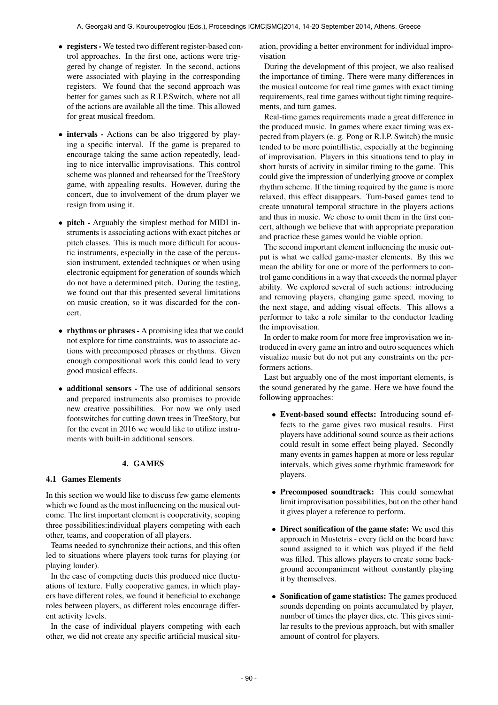- registers We tested two different register-based control approaches. In the first one, actions were triggered by change of register. In the second, actions were associated with playing in the corresponding registers. We found that the second approach was better for games such as R.I.P.Switch, where not all of the actions are available all the time. This allowed for great musical freedom.
- intervals Actions can be also triggered by playing a specific interval. If the game is prepared to encourage taking the same action repeatedly, leading to nice intervallic improvisations. This control scheme was planned and rehearsed for the TreeStory game, with appealing results. However, during the concert, due to involvement of the drum player we resign from using it.
- pitch Arguably the simplest method for MIDI instruments is associating actions with exact pitches or pitch classes. This is much more difficult for acoustic instruments, especially in the case of the percussion instrument, extended techniques or when using electronic equipment for generation of sounds which do not have a determined pitch. During the testing, we found out that this presented several limitations on music creation, so it was discarded for the concert.
- rhythms or phrases A promising idea that we could not explore for time constraints, was to associate actions with precomposed phrases or rhythms. Given enough compositional work this could lead to very good musical effects.
- additional sensors The use of additional sensors and prepared instruments also promises to provide new creative possibilities. For now we only used footswitches for cutting down trees in TreeStory, but for the event in 2016 we would like to utilize instruments with built-in additional sensors.

## 4. GAMES

## 4.1 Games Elements

In this section we would like to discuss few game elements which we found as the most influencing on the musical outcome. The first important element is cooperativity, scoping three possibilities:individual players competing with each other, teams, and cooperation of all players.

Teams needed to synchronize their actions, and this often led to situations where players took turns for playing (or playing louder).

In the case of competing duets this produced nice fluctuations of texture. Fully cooperative games, in which players have different roles, we found it beneficial to exchange roles between players, as different roles encourage different activity levels.

In the case of individual players competing with each other, we did not create any specific artificial musical situation, providing a better environment for individual improvisation

During the development of this project, we also realised the importance of timing. There were many differences in the musical outcome for real time games with exact timing requirements, real time games without tight timing requirements, and turn games.

Real-time games requirements made a great difference in the produced music. In games where exact timing was expected from players (e. g. Pong or R.I.P. Switch) the music tended to be more pointillistic, especially at the beginning of improvisation. Players in this situations tend to play in short bursts of activity in similar timing to the game. This could give the impression of underlying groove or complex rhythm scheme. If the timing required by the game is more relaxed, this effect disappears. Turn-based games tend to create unnatural temporal structure in the players actions and thus in music. We chose to omit them in the first concert, although we believe that with appropriate preparation and practice these games would be viable option.

The second important element influencing the music output is what we called game-master elements. By this we mean the ability for one or more of the performers to control game conditions in a way that exceeds the normal player ability. We explored several of such actions: introducing and removing players, changing game speed, moving to the next stage, and adding visual effects. This allows a performer to take a role similar to the conductor leading the improvisation.

In order to make room for more free improvisation we introduced in every game an intro and outro sequences which visualize music but do not put any constraints on the performers actions.

Last but arguably one of the most important elements, is the sound generated by the game. Here we have found the following approaches:

- Event-based sound effects: Introducing sound effects to the game gives two musical results. First players have additional sound source as their actions could result in some effect being played. Secondly many events in games happen at more or less regular intervals, which gives some rhythmic framework for players.
- Precomposed soundtrack: This could somewhat limit improvisation possibilities, but on the other hand it gives player a reference to perform.
- Direct sonification of the game state: We used this approach in Mustetris - every field on the board have sound assigned to it which was played if the field was filled. This allows players to create some background accompaniment without constantly playing it by themselves.
- Sonification of game statistics: The games produced sounds depending on points accumulated by player, number of times the player dies, etc. This gives similar results to the previous approach, but with smaller amount of control for players.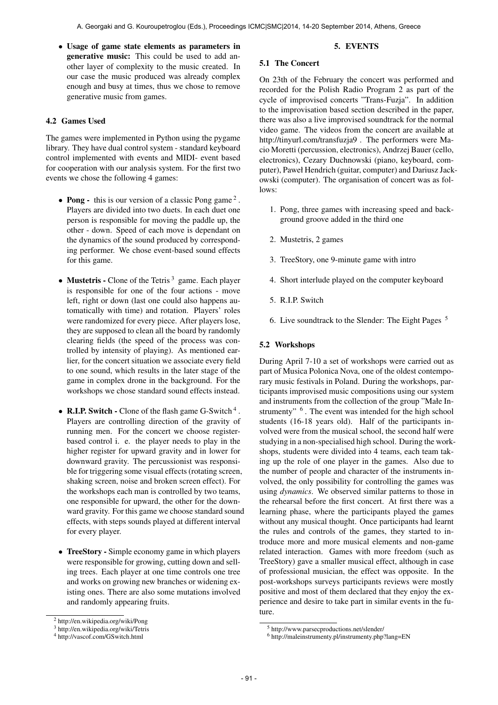• Usage of game state elements as parameters in generative music: This could be used to add another layer of complexity to the music created. In our case the music produced was already complex enough and busy at times, thus we chose to remove generative music from games.

# 4.2 Games Used

The games were implemented in Python using the pygame library. They have dual control system - standard keyboard control implemented with events and MIDI- event based for cooperation with our analysis system. For the first two events we chose the following 4 games:

- Pong this is our version of a classic Pong game<sup>2</sup>. Players are divided into two duets. In each duet one person is responsible for moving the paddle up, the other - down. Speed of each move is dependant on the dynamics of the sound produced by corresponding performer. We chose event-based sound effects for this game.
- Mustetris Clone of the Tetris<sup>3</sup> game. Each player is responsible for one of the four actions - move left, right or down (last one could also happens automatically with time) and rotation. Players' roles were randomized for every piece. After players lose, they are supposed to clean all the board by randomly clearing fields (the speed of the process was controlled by intensity of playing). As mentioned earlier, for the concert situation we associate every field to one sound, which results in the later stage of the game in complex drone in the background. For the workshops we chose standard sound effects instead.
- R.I.P. Switch Clone of the flash game G-Switch<sup>4</sup>. Players are controlling direction of the gravity of running men. For the concert we choose registerbased control i. e. the player needs to play in the higher register for upward gravity and in lower for downward gravity. The percussionist was responsible for triggering some visual effects (rotating screen, shaking screen, noise and broken screen effect). For the workshops each man is controlled by two teams, one responsible for upward, the other for the downward gravity. For this game we choose standard sound effects, with steps sounds played at different interval for every player.
- TreeStory Simple economy game in which players were responsible for growing, cutting down and selling trees. Each player at one time controls one tree and works on growing new branches or widening existing ones. There are also some mutations involved and randomly appearing fruits.

## 5. EVENTS

## 5.1 The Concert

On 23th of the February the concert was performed and recorded for the Polish Radio Program 2 as part of the cycle of improvised concerts "Trans-Fuzja". In addition to the improvisation based section described in the paper, there was also a live improvised soundtrack for the normal video game. The videos from the concert are available at http://tinyurl.com/transfuzja9 . The performers were Macio Moretti (percussion, electronics), Andrzej Bauer (cello, electronics), Cezary Duchnowski (piano, keyboard, computer), Paweł Hendrich (guitar, computer) and Dariusz Jackowski (computer). The organisation of concert was as follows:

- 1. Pong, three games with increasing speed and background groove added in the third one
- 2. Mustetris, 2 games
- 3. TreeStory, one 9-minute game with intro
- 4. Short interlude played on the computer keyboard
- 5. R.I.P. Switch
- 6. Live soundtrack to the Slender: The Eight Pages 5

## 5.2 Workshops

During April 7-10 a set of workshops were carried out as part of Musica Polonica Nova, one of the oldest contemporary music festivals in Poland. During the workshops, participants improvised music compositions using our system and instruments from the collection of the group "Małe Instrumenty" <sup>6</sup>. The event was intended for the high school students (16-18 years old). Half of the participants involved were from the musical school, the second half were studying in a non-specialised high school. During the workshops, students were divided into 4 teams, each team taking up the role of one player in the games. Also due to the number of people and character of the instruments involved, the only possibility for controlling the games was using *dynamics*. We observed similar patterns to those in the rehearsal before the first concert. At first there was a learning phase, where the participants played the games without any musical thought. Once participants had learnt the rules and controls of the games, they started to introduce more and more musical elements and non-game related interaction. Games with more freedom (such as TreeStory) gave a smaller musical effect, although in case of professional musician, the effect was opposite. In the post-workshops surveys participants reviews were mostly positive and most of them declared that they enjoy the experience and desire to take part in similar events in the future.

<sup>2</sup> http://en.wikipedia.org/wiki/Pong

<sup>3</sup> http://en.wikipedia.org/wiki/Tetris

<sup>4</sup> http://vascof.com/GSwitch.html

<sup>5</sup> http://www.parsecproductions.net/slender/

<sup>6</sup> http://maleinstrumenty.pl/instrumenty.php?lang=EN